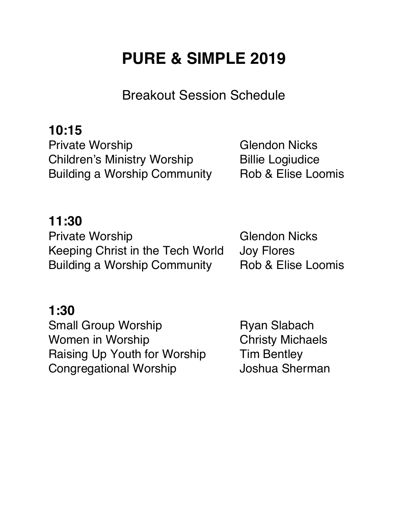# **PURE & SIMPLE 2019**

Breakout Session Schedule

### **10:15**

Private Worship Glendon Nicks Children's Ministry Worship Billie Logiudice Building a Worship Community Rob & Elise Loomis

### **11:30**

Private Worship Glendon Nicks Keeping Christ in the Tech World Joy Flores Building a Worship Community Rob & Elise Loomis

### **1:30**

Small Group Worship **Ryan Slabach** Women in Worship **Christy Michaels** Raising Up Youth for Worship Tim Bentley Congregational Worship **Joshua Sherman**